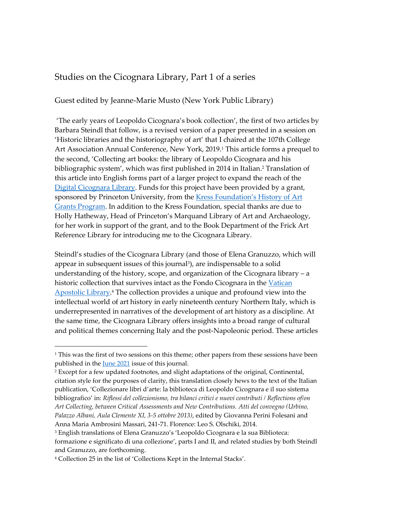## Studies on the Cicognara Library, Part 1 of a series

## Guest edited by Jeanne-Marie Musto (New York Public Library)

'The early years of Leopoldo Cicognara's book collection', the first of two articles by Barbara Steindl that follow, is a revised version of a paper presented in a session on 'Historic libraries and the historiography of art' that I chaired at the 107th College Art Association Annual Conference, New York, 2019.<sup>1</sup> This article forms a prequel to the second, 'Collecting art books: the library of Leopoldo Cicognara and his bibliographic system', which was first published in 2014 in Italian.<sup>2</sup> Translation of this article into English forms part of a larger project to expand the reach of the [Digital Cicognara Library.](https://cicognara.org/) Funds for this project have been provided by a grant, sponsored by Princeton University, from the Kress Foundation's History of Art [Grants Program.](https://www.kressfoundation.org/Programs/Grants/History-of-Art) In addition to the Kress Foundation, special thanks are due to Holly Hatheway, Head of Princeton's Marquand Library of Art and Archaeology, for her work in support of the grant, and to the Book Department of the Frick Art Reference Library for introducing me to the Cicognara Library.

Steindl's studies of the Cicognara Library (and those of Elena Granuzzo, which will appear in subsequent issues of this journal<sup>3</sup>), are indispensable to a solid understanding of the history, scope, and organization of the Cicognara library – a historic collection that survives intact as the Fondo Cicognara in the [Vatican](https://www.vaticanlibrary.va/en/the-collections/collections-kept-in-the-stacks.html)  [Apostolic Library.](https://www.vaticanlibrary.va/en/the-collections/collections-kept-in-the-stacks.html)<sup>4</sup> The collection provides a unique and profound view into the intellectual world of art history in early nineteenth century Northern Italy, which is underrepresented in narratives of the development of art history as a discipline. At the same time, the Cicognara Library offers insights into a broad range of cultural and political themes concerning Italy and the post-Napoleonic period. These articles

 $\overline{a}$ 

 $1$ <sup>1</sup> This was the first of two sessions on this theme; other papers from these sessions have been published in the <u>June 2021</u> issue of this journal.

<sup>2</sup> Except for a few updated footnotes, and slight adaptations of the original, Continental, citation style for the purposes of clarity, this translation closely hews to the text of the Italian publication, 'Collezionare libri d'arte: la biblioteca di Leopoldo Cicognara e il suo sistema bibliografico' in: *Riflessi del collezionismo, tra bilanci critici e nuovi contributi / Reflections of/on Art Collecting, between Critical Assessments and New Contributions. Atti del convegno (Urbino, Palazzo Albani, Aula Clemente XI, 3-5 ottobre 2013)*, edited by Giovanna Perini Folesani and Anna Maria Ambrosini Massari, 241-71. Florence: Leo S. Olschiki, 2014.

<sup>3</sup> English translations of Elena Granuzzo's 'Leopoldo Cicognara e la sua Biblioteca: formazione e significato di una collezione', parts I and II, and related studies by both Steindl and Granuzzo, are forthcoming.

<sup>4</sup> Collection 25 in the list of 'Collections Kept in the Internal Stacks'.